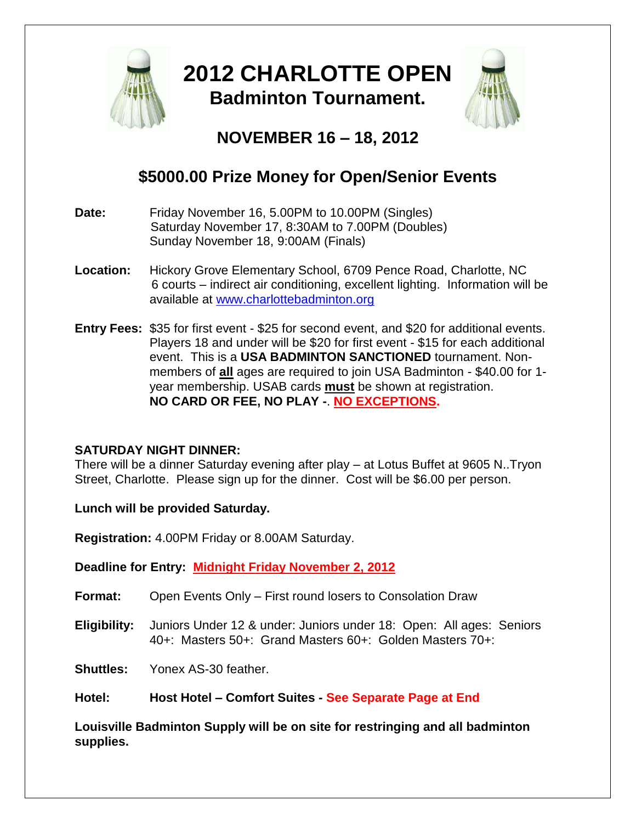

## **2012 CHARLOTTE OPEN Badminton Tournament.**



## **NOVEMBER 16 – 18, 2012**

## **\$5000.00 Prize Money for Open/Senior Events**

- **Date:** Friday November 16, 5.00PM to 10.00PM (Singles) Saturday November 17, 8:30AM to 7.00PM (Doubles) Sunday November 18, 9:00AM (Finals)
- **Location:** Hickory Grove Elementary School, 6709 Pence Road, Charlotte, NC 6 courts – indirect air conditioning, excellent lighting. Information will be available at [www.charlottebadminton.org](http://www.charlottebadminton.org/)
- **Entry Fees:** \$35 for first event \$25 for second event, and \$20 for additional events. Players 18 and under will be \$20 for first event - \$15 for each additional event. This is a **USA BADMINTON SANCTIONED** tournament. Nonmembers of **all** ages are required to join USA Badminton - \$40.00 for 1 year membership. USAB cards **must** be shown at registration. **NO CARD OR FEE, NO PLAY -**. **NO EXCEPTIONS.**

#### **SATURDAY NIGHT DINNER:**

There will be a dinner Saturday evening after play – at Lotus Buffet at 9605 N..Tryon Street, Charlotte. Please sign up for the dinner. Cost will be \$6.00 per person.

**Lunch will be provided Saturday.**

**Registration:** 4.00PM Friday or 8.00AM Saturday.

**Deadline for Entry: Midnight Friday November 2, 2012**

- **Format:** Open Events Only First round losers to Consolation Draw
- **Eligibility:** Juniors Under 12 & under: Juniors under 18: Open: All ages: Seniors 40+: Masters 50+: Grand Masters 60+: Golden Masters 70+:

**Shuttles:** Yonex AS-30 feather.

**Hotel: Host Hotel – Comfort Suites - See Separate Page at End**

**Louisville Badminton Supply will be on site for restringing and all badminton supplies.**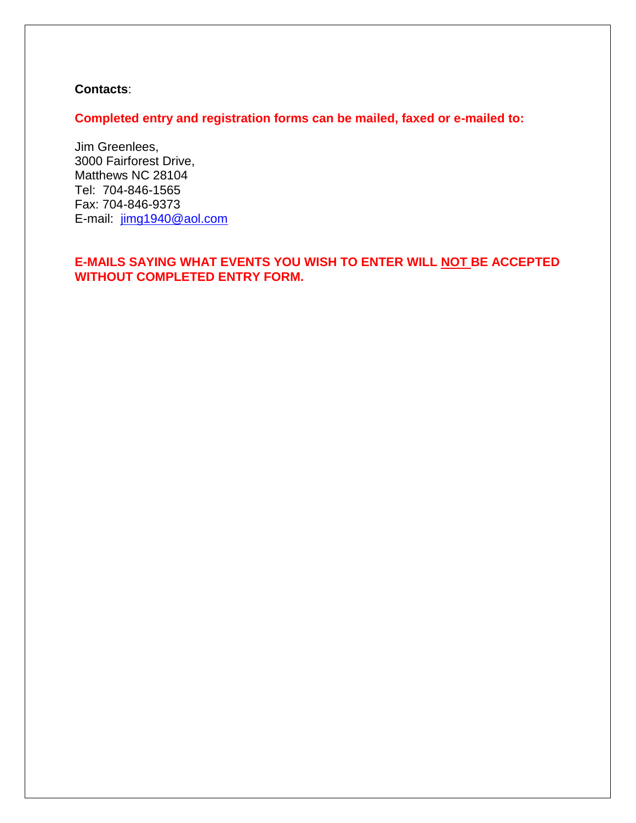#### **Contacts**:

**Completed entry and registration forms can be mailed, faxed or e-mailed to:**

Jim Greenlees, 3000 Fairforest Drive, Matthews NC 28104 Tel: 704-846-1565 Fax: 704-846-9373 E-mail: [jimg1940@aol.com](mailto:jimg1940@aol.com)

#### **E-MAILS SAYING WHAT EVENTS YOU WISH TO ENTER WILL NOT BE ACCEPTED WITHOUT COMPLETED ENTRY FORM.**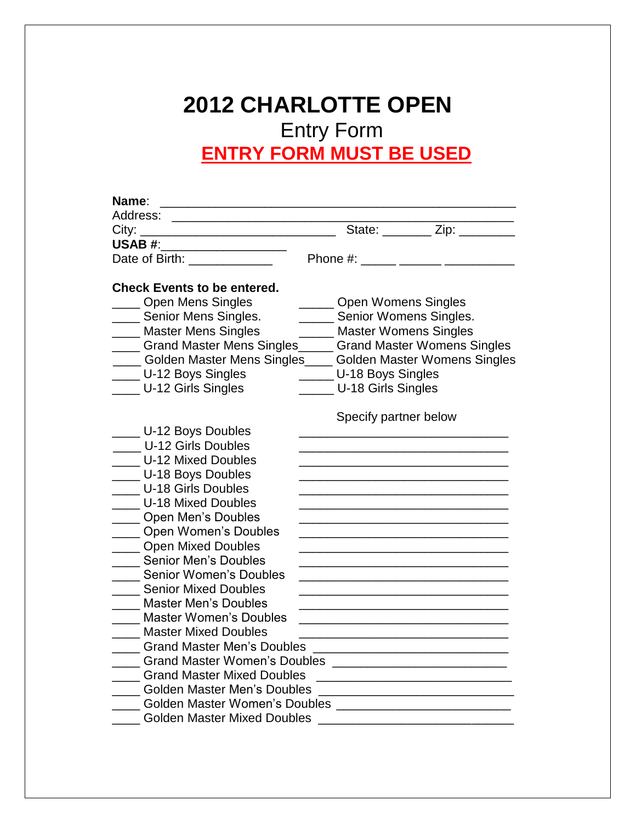## **2012 CHARLOTTE OPEN** Entry Form **ENTRY FORM MUST BE USED**

| Name:<br>Address:<br><u> 1989 - Johann John Stone, mars et al. 1989 - John Stone, mars et al. 1989 - John Stone, mars et al. 1989 - Joh</u> |                                                                   |                        |  |
|---------------------------------------------------------------------------------------------------------------------------------------------|-------------------------------------------------------------------|------------------------|--|
| <u>State: Zip: William State:</u> State: Zip: Zip:                                                                                          |                                                                   |                        |  |
| USAB #: _____________________                                                                                                               |                                                                   |                        |  |
| Date of Birth: _____________                                                                                                                |                                                                   |                        |  |
|                                                                                                                                             |                                                                   |                        |  |
| <b>Check Events to be entered.</b>                                                                                                          |                                                                   |                        |  |
| ____ Open Mens Singles                                                                                                                      | <b>Open Womens Singles</b>                                        |                        |  |
| _ Senior Mens Singles.                                                                                                                      |                                                                   | Senior Womens Singles. |  |
| __ Master Mens Singles                                                                                                                      | <b>Master Womens Singles</b>                                      |                        |  |
| __ Grand Master Mens Singles _____ Grand Master Womens Singles                                                                              |                                                                   |                        |  |
| __ Golden Master Mens Singles____ Golden Master Womens Singles                                                                              |                                                                   |                        |  |
| _ U-12 Boys Singles                                                                                                                         |                                                                   | U-18 Boys Singles      |  |
| U-12 Girls Singles                                                                                                                          | _ U-18 Girls Singles                                              |                        |  |
|                                                                                                                                             | Specify partner below                                             |                        |  |
| _ U-12 Boys Doubles                                                                                                                         |                                                                   |                        |  |
| _ U-12 Girls Doubles                                                                                                                        |                                                                   |                        |  |
| _ U-12 Mixed Doubles                                                                                                                        |                                                                   |                        |  |
| _ U-18 Boys Doubles                                                                                                                         |                                                                   |                        |  |
| _ U-18 Girls Doubles                                                                                                                        |                                                                   |                        |  |
| <b>U-18 Mixed Doubles</b>                                                                                                                   |                                                                   |                        |  |
| Open Men's Doubles                                                                                                                          |                                                                   |                        |  |
| Open Women's Doubles                                                                                                                        |                                                                   |                        |  |
| ___ Open Mixed Doubles                                                                                                                      |                                                                   |                        |  |
| Senior Men's Doubles                                                                                                                        | <u> 1990 - Johann John Stone, mars eta biztanleria (h. 1908).</u> |                        |  |
| _ Senior Women's Doubles                                                                                                                    |                                                                   |                        |  |
| _ Senior Mixed Doubles                                                                                                                      |                                                                   |                        |  |
| <b>Master Men's Doubles</b>                                                                                                                 |                                                                   |                        |  |
| Master Women's Doubles                                                                                                                      |                                                                   |                        |  |
| <b>Master Mixed Doubles</b>                                                                                                                 |                                                                   |                        |  |
|                                                                                                                                             |                                                                   |                        |  |
|                                                                                                                                             |                                                                   |                        |  |
| <b>Crand Master Mixed Doubles</b>                                                                                                           |                                                                   |                        |  |
| Golden Master Men's Doubles                                                                                                                 |                                                                   |                        |  |
| Colden Master Women's Doubles [1989] Colden Master Women's Doubles                                                                          |                                                                   |                        |  |
| Golden Master Mixed Doubles                                                                                                                 |                                                                   |                        |  |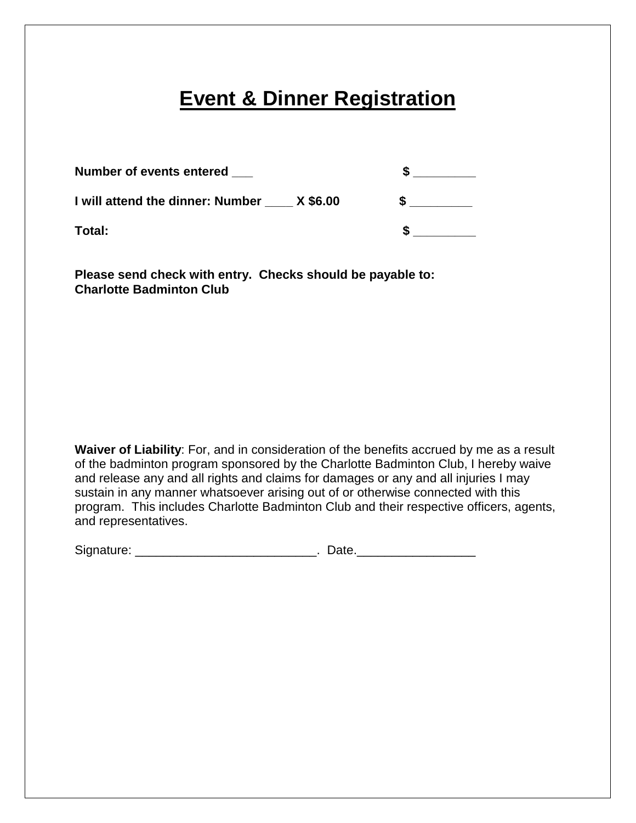## **Event & Dinner Registration**

| Number of events entered                  |  |
|-------------------------------------------|--|
| I will attend the dinner: Number X \$6.00 |  |
| Total:                                    |  |

**Please send check with entry. Checks should be payable to: Charlotte Badminton Club**

**Waiver of Liability**: For, and in consideration of the benefits accrued by me as a result of the badminton program sponsored by the Charlotte Badminton Club, I hereby waive and release any and all rights and claims for damages or any and all injuries I may sustain in any manner whatsoever arising out of or otherwise connected with this program. This includes Charlotte Badminton Club and their respective officers, agents, and representatives.

Signature: \_\_\_\_\_\_\_\_\_\_\_\_\_\_\_\_\_\_\_\_\_\_\_\_\_\_. Date.\_\_\_\_\_\_\_\_\_\_\_\_\_\_\_\_\_